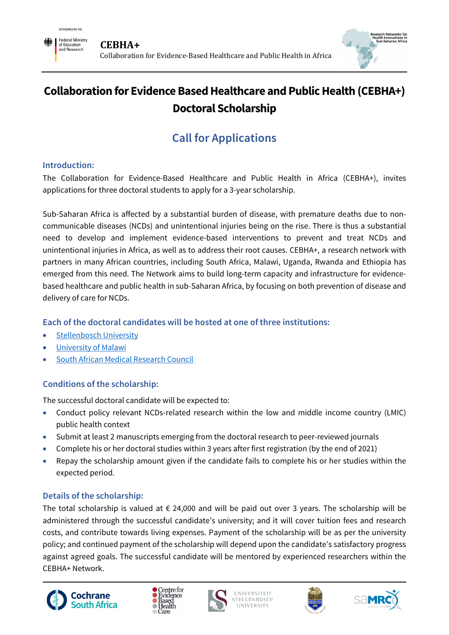



## **Collaboration for Evidence Based Healthcare and Public Health (CEBHA+) Doctoral Scholarship**

# **Call for Applications**

#### **Introduction:**

The Collaboration for Evidence-Based Healthcare and Public Health in Africa (CEBHA+), invites applications for three doctoral students to apply for a 3-year scholarship.

Sub-Saharan Africa is affected by a substantial burden of disease, with premature deaths due to noncommunicable diseases (NCDs) and unintentional injuries being on the rise. There is thus a substantial need to develop and implement evidence-based interventions to prevent and treat NCDs and unintentional injuries in Africa, as well as to address their root causes. CEBHA+, a research network with partners in many African countries, including South Africa, Malawi, Uganda, Rwanda and Ethiopia has emerged from this need. The Network aims to build long-term capacity and infrastructure for evidencebased healthcare and public health in sub-Saharan Africa, by focusing on both prevention of disease and delivery of care for NCDs.

## **Each of the doctoral candidates will be hosted at one of three institutions:**

- [Stellenbosch University](http://www.sun.ac.za/english/faculty/healthsciences/)
- [University of Malawi](http://pgd.medcol.mw/)
- [South African Medical Research Council](https://southafrica.cochrane.org/about-us)

## **Conditions of the scholarship:**

The successful doctoral candidate will be expected to:

- Conduct policy relevant NCDs-related research within the low and middle income country (LMIC) public health context
- Submit at least 2 manuscripts emerging from the doctoral research to peer-reviewed journals
- Complete his or her doctoral studies within 3 years after first registration (by the end of 2021)
- Repay the scholarship amount given if the candidate fails to complete his or her studies within the expected period.

## **Details of the scholarship:**

The total scholarship is valued at  $\epsilon$  24,000 and will be paid out over 3 years. The scholarship will be administered through the successful candidate's university; and it will cover tuition fees and research costs, and contribute towards living expenses. Payment of the scholarship will be as per the university policy; and continued payment of the scholarship will depend upon the candidate's satisfactory progress against agreed goals. The successful candidate will be mentored by experienced researchers within the CEBHA+ Network.